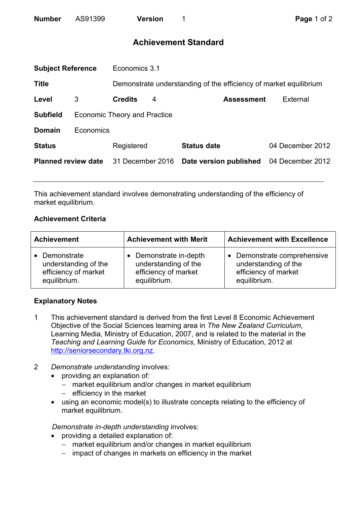# **Achievement Standard**

| <b>Subject Reference</b>   |                                     | Economics 3.1    |   |                                                                   |                  |  |
|----------------------------|-------------------------------------|------------------|---|-------------------------------------------------------------------|------------------|--|
| <b>Title</b>               |                                     |                  |   | Demonstrate understanding of the efficiency of market equilibrium |                  |  |
| Level                      | 3                                   | <b>Credits</b>   | 4 | <b>Assessment</b>                                                 | External         |  |
| <b>Subfield</b>            | <b>Economic Theory and Practice</b> |                  |   |                                                                   |                  |  |
| <b>Domain</b>              | Economics                           |                  |   |                                                                   |                  |  |
| <b>Status</b>              |                                     | Registered       |   | <b>Status date</b>                                                | 04 December 2012 |  |
| <b>Planned review date</b> |                                     | 31 December 2016 |   | Date version published                                            | 04 December 2012 |  |
|                            |                                     |                  |   |                                                                   |                  |  |

This achievement standard involves demonstrating understanding of the efficiency of market equilibrium.

## **Achievement Criteria**

| <b>Achievement</b>   | <b>Achievement with Merit</b> | <b>Achievement with Excellence</b> |  |
|----------------------|-------------------------------|------------------------------------|--|
| • Demonstrate        | • Demonstrate in-depth        | Demonstrate comprehensive          |  |
| understanding of the | understanding of the          | understanding of the               |  |
| efficiency of market | efficiency of market          | efficiency of market               |  |
| equilibrium.         | equilibrium.                  | equilibrium.                       |  |

## **Explanatory Notes**

- 1 This achievement standard is derived from the first Level 8 Economic Achievement Objective of the Social Sciences learning area in *The New Zealand Curriculum*, Learning Media, Ministry of Education, 2007, and is related to the material in the *Teaching and Learning Guide for Economics*, Ministry of Education, 2012 at http://seniorsecondary.tki.org.nz.
- 2 *Demonstrate understanding* involves:
	- providing an explanation of:
		- − market equilibrium and/or changes in market equilibrium
		- − efficiency in the market
	- using an economic model(s) to illustrate concepts relating to the efficiency of market equilibrium.

*Demonstrate in-depth understanding* involves:

- providing a detailed explanation of:
	- − market equilibrium and/or changes in market equilibrium
	- − impact of changes in markets on efficiency in the market